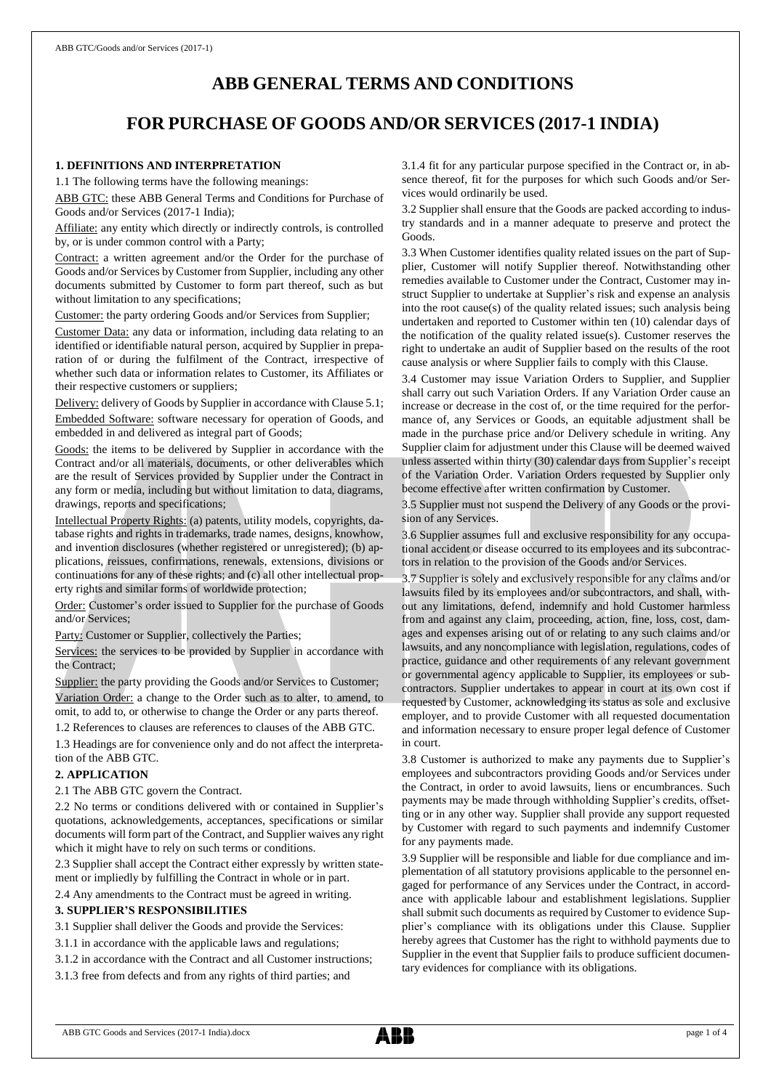# **ABB GENERAL TERMS AND CONDITIONS**

# **FOR PURCHASE OF GOODS AND/OR SERVICES (2017-1 INDIA)**

# **1. DEFINITIONS AND INTERPRETATION**

1.1 The following terms have the following meanings:

ABB GTC: these ABB General Terms and Conditions for Purchase of Goods and/or Services (2017-1 India);

Affiliate: any entity which directly or indirectly controls, is controlled by, or is under common control with a Party;

Contract: a written agreement and/or the Order for the purchase of Goods and/or Services by Customer from Supplier, including any other documents submitted by Customer to form part thereof, such as but without limitation to any specifications;

Customer: the party ordering Goods and/or Services from Supplier;

Customer Data: any data or information, including data relating to an identified or identifiable natural person, acquired by Supplier in preparation of or during the fulfilment of the Contract, irrespective of whether such data or information relates to Customer, its Affiliates or their respective customers or suppliers;

Delivery: delivery of Goods by Supplier in accordance with Clause 5.1; Embedded Software: software necessary for operation of Goods, and embedded in and delivered as integral part of Goods;

Goods: the items to be delivered by Supplier in accordance with the Contract and/or all materials, documents, or other deliverables which are the result of Services provided by Supplier under the Contract in any form or media, including but without limitation to data, diagrams, drawings, reports and specifications;

Intellectual Property Rights: (a) patents, utility models, copyrights, database rights and rights in trademarks, trade names, designs, knowhow, and invention disclosures (whether registered or unregistered); (b) applications, reissues, confirmations, renewals, extensions, divisions or continuations for any of these rights; and (c) all other intellectual property rights and similar forms of worldwide protection;

Order: Customer's order issued to Supplier for the purchase of Goods and/or Services;

Party: Customer or Supplier, collectively the Parties;

Services: the services to be provided by Supplier in accordance with the Contract;

Supplier: the party providing the Goods and/or Services to Customer; Variation Order: a change to the Order such as to alter, to amend, to omit, to add to, or otherwise to change the Order or any parts thereof.

1.2 References to clauses are references to clauses of the ABB GTC.

1.3 Headings are for convenience only and do not affect the interpretation of the ABB GTC.

# **2. APPLICATION**

2.1 The ABB GTC govern the Contract.

2.2 No terms or conditions delivered with or contained in Supplier's quotations, acknowledgements, acceptances, specifications or similar documents will form part of the Contract, and Supplier waives any right which it might have to rely on such terms or conditions.

2.3 Supplier shall accept the Contract either expressly by written statement or impliedly by fulfilling the Contract in whole or in part.

2.4 Any amendments to the Contract must be agreed in writing.

### **3. SUPPLIER'S RESPONSIBILITIES**

- 3.1 Supplier shall deliver the Goods and provide the Services:
- 3.1.1 in accordance with the applicable laws and regulations;
- 3.1.2 in accordance with the Contract and all Customer instructions;
- 3.1.3 free from defects and from any rights of third parties; and

3.1.4 fit for any particular purpose specified in the Contract or, in absence thereof, fit for the purposes for which such Goods and/or Services would ordinarily be used.

3.2 Supplier shall ensure that the Goods are packed according to industry standards and in a manner adequate to preserve and protect the Goods.

3.3 When Customer identifies quality related issues on the part of Supplier, Customer will notify Supplier thereof. Notwithstanding other remedies available to Customer under the Contract, Customer may instruct Supplier to undertake at Supplier's risk and expense an analysis into the root cause(s) of the quality related issues; such analysis being undertaken and reported to Customer within ten (10) calendar days of the notification of the quality related issue(s). Customer reserves the right to undertake an audit of Supplier based on the results of the root cause analysis or where Supplier fails to comply with this Clause.

3.4 Customer may issue Variation Orders to Supplier, and Supplier shall carry out such Variation Orders. If any Variation Order cause an increase or decrease in the cost of, or the time required for the performance of, any Services or Goods, an equitable adjustment shall be made in the purchase price and/or Delivery schedule in writing. Any Supplier claim for adjustment under this Clause will be deemed waived unless asserted within thirty (30) calendar days from Supplier's receipt of the Variation Order. Variation Orders requested by Supplier only become effective after written confirmation by Customer.

3.5 Supplier must not suspend the Delivery of any Goods or the provision of any Services.

3.6 Supplier assumes full and exclusive responsibility for any occupational accident or disease occurred to its employees and its subcontractors in relation to the provision of the Goods and/or Services.

3.7 Supplier is solely and exclusively responsible for any claims and/or lawsuits filed by its employees and/or subcontractors, and shall, without any limitations, defend, indemnify and hold Customer harmless from and against any claim, proceeding, action, fine, loss, cost, damages and expenses arising out of or relating to any such claims and/or lawsuits, and any noncompliance with legislation, regulations, codes of practice, guidance and other requirements of any relevant government or governmental agency applicable to Supplier, its employees or subcontractors. Supplier undertakes to appear in court at its own cost if requested by Customer, acknowledging its status as sole and exclusive employer, and to provide Customer with all requested documentation and information necessary to ensure proper legal defence of Customer in court.

3.8 Customer is authorized to make any payments due to Supplier's employees and subcontractors providing Goods and/or Services under the Contract, in order to avoid lawsuits, liens or encumbrances. Such payments may be made through withholding Supplier's credits, offsetting or in any other way. Supplier shall provide any support requested by Customer with regard to such payments and indemnify Customer for any payments made.

3.9 Supplier will be responsible and liable for due compliance and implementation of all statutory provisions applicable to the personnel engaged for performance of any Services under the Contract, in accordance with applicable labour and establishment legislations. Supplier shall submit such documents as required by Customer to evidence Supplier's compliance with its obligations under this Clause. Supplier hereby agrees that Customer has the right to withhold payments due to Supplier in the event that Supplier fails to produce sufficient documentary evidences for compliance with its obligations.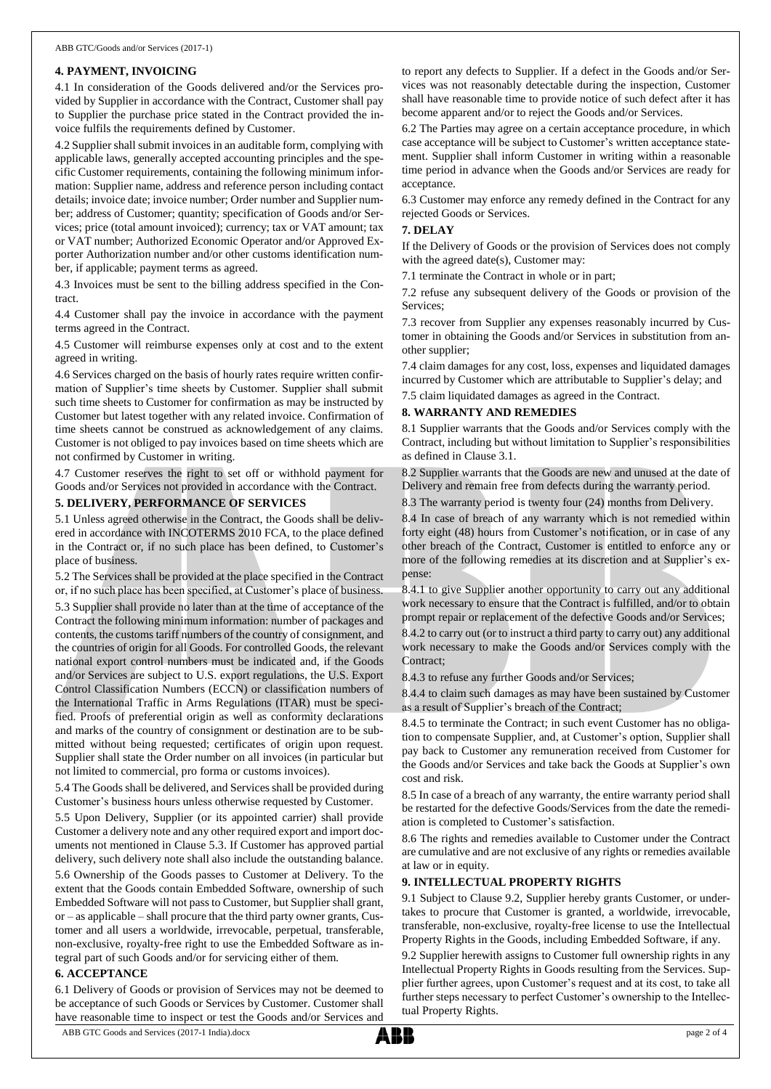#### **4. PAYMENT, INVOICING**

4.1 In consideration of the Goods delivered and/or the Services provided by Supplier in accordance with the Contract, Customer shall pay to Supplier the purchase price stated in the Contract provided the invoice fulfils the requirements defined by Customer.

4.2 Supplier shall submit invoices in an auditable form, complying with applicable laws, generally accepted accounting principles and the specific Customer requirements, containing the following minimum information: Supplier name, address and reference person including contact details; invoice date; invoice number; Order number and Supplier number; address of Customer; quantity; specification of Goods and/or Services; price (total amount invoiced); currency; tax or VAT amount; tax or VAT number; Authorized Economic Operator and/or Approved Exporter Authorization number and/or other customs identification number, if applicable; payment terms as agreed.

4.3 Invoices must be sent to the billing address specified in the Contract.

4.4 Customer shall pay the invoice in accordance with the payment terms agreed in the Contract.

4.5 Customer will reimburse expenses only at cost and to the extent agreed in writing.

4.6 Services charged on the basis of hourly rates require written confirmation of Supplier's time sheets by Customer. Supplier shall submit such time sheets to Customer for confirmation as may be instructed by Customer but latest together with any related invoice. Confirmation of time sheets cannot be construed as acknowledgement of any claims. Customer is not obliged to pay invoices based on time sheets which are not confirmed by Customer in writing.

4.7 Customer reserves the right to set off or withhold payment for Goods and/or Services not provided in accordance with the Contract.

#### **5. DELIVERY, PERFORMANCE OF SERVICES**

5.1 Unless agreed otherwise in the Contract, the Goods shall be delivered in accordance with INCOTERMS 2010 FCA, to the place defined in the Contract or, if no such place has been defined, to Customer's place of business.

5.2 The Services shall be provided at the place specified in the Contract or, if no such place has been specified, at Customer's place of business.

5.3 Supplier shall provide no later than at the time of acceptance of the Contract the following minimum information: number of packages and contents, the customs tariff numbers of the country of consignment, and the countries of origin for all Goods. For controlled Goods, the relevant national export control numbers must be indicated and, if the Goods and/or Services are subject to U.S. export regulations, the U.S. Export Control Classification Numbers (ECCN) or classification numbers of the International Traffic in Arms Regulations (ITAR) must be specified. Proofs of preferential origin as well as conformity declarations and marks of the country of consignment or destination are to be submitted without being requested; certificates of origin upon request. Supplier shall state the Order number on all invoices (in particular but not limited to commercial, pro forma or customs invoices).

5.4 The Goods shall be delivered, and Services shall be provided during Customer's business hours unless otherwise requested by Customer.

5.5 Upon Delivery, Supplier (or its appointed carrier) shall provide Customer a delivery note and any other required export and import documents not mentioned in Clause 5.3. If Customer has approved partial delivery, such delivery note shall also include the outstanding balance. 5.6 Ownership of the Goods passes to Customer at Delivery. To the extent that the Goods contain Embedded Software, ownership of such Embedded Software will not passto Customer, but Supplier shall grant, or – as applicable – shall procure that the third party owner grants, Customer and all users a worldwide, irrevocable, perpetual, transferable, non-exclusive, royalty-free right to use the Embedded Software as integral part of such Goods and/or for servicing either of them.

#### **6. ACCEPTANCE**

6.1 Delivery of Goods or provision of Services may not be deemed to be acceptance of such Goods or Services by Customer. Customer shall have reasonable time to inspect or test the Goods and/or Services and

to report any defects to Supplier. If a defect in the Goods and/or Services was not reasonably detectable during the inspection, Customer shall have reasonable time to provide notice of such defect after it has become apparent and/or to reject the Goods and/or Services.

6.2 The Parties may agree on a certain acceptance procedure, in which case acceptance will be subject to Customer's written acceptance statement. Supplier shall inform Customer in writing within a reasonable time period in advance when the Goods and/or Services are ready for acceptance.

6.3 Customer may enforce any remedy defined in the Contract for any rejected Goods or Services.

#### **7. DELAY**

If the Delivery of Goods or the provision of Services does not comply with the agreed date(s), Customer may:

7.1 terminate the Contract in whole or in part;

7.2 refuse any subsequent delivery of the Goods or provision of the Services;

7.3 recover from Supplier any expenses reasonably incurred by Customer in obtaining the Goods and/or Services in substitution from another supplier;

7.4 claim damages for any cost, loss, expenses and liquidated damages incurred by Customer which are attributable to Supplier's delay; and

7.5 claim liquidated damages as agreed in the Contract.

#### **8. WARRANTY AND REMEDIES**

8.1 Supplier warrants that the Goods and/or Services comply with the Contract, including but without limitation to Supplier's responsibilities as defined in Clause 3.1.

8.2 Supplier warrants that the Goods are new and unused at the date of Delivery and remain free from defects during the warranty period.

8.3 The warranty period is twenty four (24) months from Delivery.

8.4 In case of breach of any warranty which is not remedied within forty eight (48) hours from Customer's notification, or in case of any other breach of the Contract, Customer is entitled to enforce any or more of the following remedies at its discretion and at Supplier's expense:

8.4.1 to give Supplier another opportunity to carry out any additional work necessary to ensure that the Contract is fulfilled, and/or to obtain prompt repair or replacement of the defective Goods and/or Services;

8.4.2 to carry out (or to instruct a third party to carry out) any additional work necessary to make the Goods and/or Services comply with the Contract;

8.4.3 to refuse any further Goods and/or Services;

8.4.4 to claim such damages as may have been sustained by Customer as a result of Supplier's breach of the Contract;

8.4.5 to terminate the Contract; in such event Customer has no obligation to compensate Supplier, and, at Customer's option, Supplier shall pay back to Customer any remuneration received from Customer for the Goods and/or Services and take back the Goods at Supplier's own cost and risk.

8.5 In case of a breach of any warranty, the entire warranty period shall be restarted for the defective Goods/Services from the date the remediation is completed to Customer's satisfaction.

8.6 The rights and remedies available to Customer under the Contract are cumulative and are not exclusive of any rights or remedies available at law or in equity.

### **9. INTELLECTUAL PROPERTY RIGHTS**

9.1 Subject to Clause 9.2, Supplier hereby grants Customer, or undertakes to procure that Customer is granted, a worldwide, irrevocable, transferable, non-exclusive, royalty-free license to use the Intellectual Property Rights in the Goods, including Embedded Software, if any.

9.2 Supplier herewith assigns to Customer full ownership rights in any Intellectual Property Rights in Goods resulting from the Services. Supplier further agrees, upon Customer's request and at its cost, to take all further steps necessary to perfect Customer's ownership to the Intellectual Property Rights.

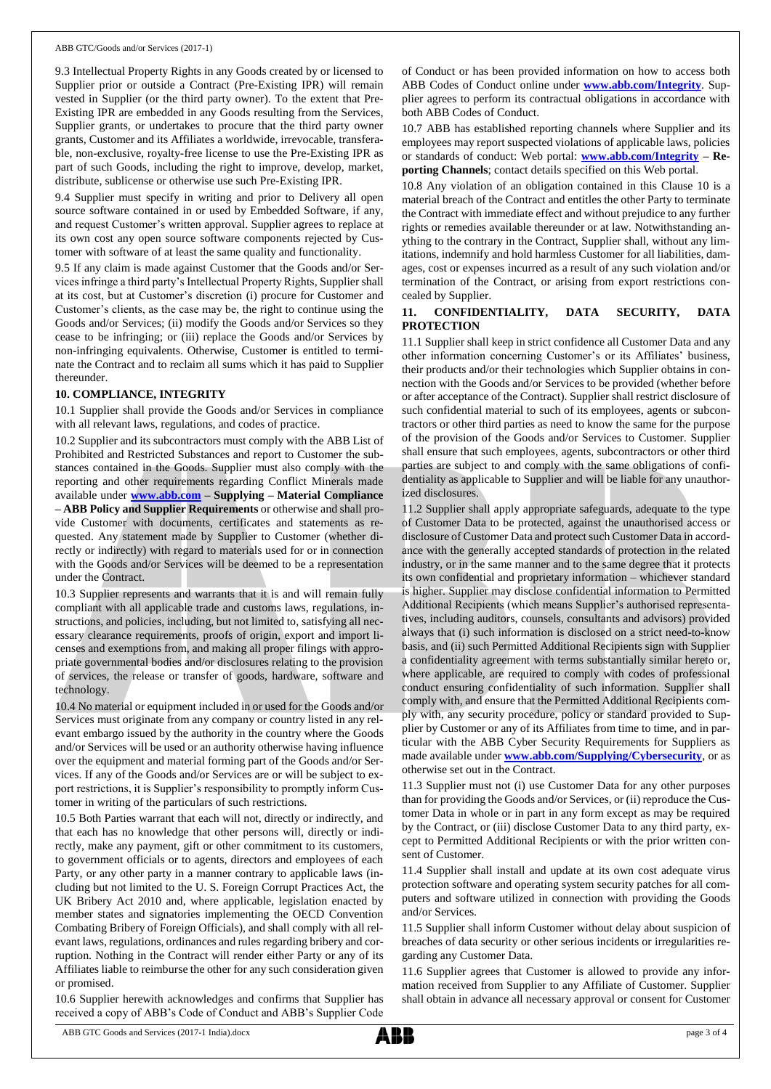9.3 Intellectual Property Rights in any Goods created by or licensed to Supplier prior or outside a Contract (Pre-Existing IPR) will remain vested in Supplier (or the third party owner). To the extent that Pre-Existing IPR are embedded in any Goods resulting from the Services, Supplier grants, or undertakes to procure that the third party owner grants, Customer and its Affiliates a worldwide, irrevocable, transferable, non-exclusive, royalty-free license to use the Pre-Existing IPR as part of such Goods, including the right to improve, develop, market, distribute, sublicense or otherwise use such Pre-Existing IPR.

9.4 Supplier must specify in writing and prior to Delivery all open source software contained in or used by Embedded Software, if any, and request Customer's written approval. Supplier agrees to replace at its own cost any open source software components rejected by Customer with software of at least the same quality and functionality.

9.5 If any claim is made against Customer that the Goods and/or Services infringe a third party's Intellectual Property Rights, Supplier shall at its cost, but at Customer's discretion (i) procure for Customer and Customer's clients, as the case may be, the right to continue using the Goods and/or Services; (ii) modify the Goods and/or Services so they cease to be infringing; or (iii) replace the Goods and/or Services by non-infringing equivalents. Otherwise, Customer is entitled to terminate the Contract and to reclaim all sums which it has paid to Supplier thereunder.

### **10. COMPLIANCE, INTEGRITY**

10.1 Supplier shall provide the Goods and/or Services in compliance with all relevant laws, regulations, and codes of practice.

10.2 Supplier and its subcontractors must comply with the ABB List of Prohibited and Restricted Substances and report to Customer the substances contained in the Goods. Supplier must also comply with the reporting and other requirements regarding Conflict Minerals made available under **[www.abb.com](http://www.abb.com/) – Supplying – Material Compliance – ABB Policy and Supplier Requirements** or otherwise and shall provide Customer with documents, certificates and statements as requested. Any statement made by Supplier to Customer (whether directly or indirectly) with regard to materials used for or in connection with the Goods and/or Services will be deemed to be a representation under the Contract.

10.3 Supplier represents and warrants that it is and will remain fully compliant with all applicable trade and customs laws, regulations, instructions, and policies, including, but not limited to, satisfying all necessary clearance requirements, proofs of origin, export and import licenses and exemptions from, and making all proper filings with appropriate governmental bodies and/or disclosures relating to the provision of services, the release or transfer of goods, hardware, software and technology.

10.4 No material or equipment included in or used for the Goods and/or Services must originate from any company or country listed in any relevant embargo issued by the authority in the country where the Goods and/or Services will be used or an authority otherwise having influence over the equipment and material forming part of the Goods and/or Services. If any of the Goods and/or Services are or will be subject to export restrictions, it is Supplier's responsibility to promptly inform Customer in writing of the particulars of such restrictions.

10.5 Both Parties warrant that each will not, directly or indirectly, and that each has no knowledge that other persons will, directly or indirectly, make any payment, gift or other commitment to its customers, to government officials or to agents, directors and employees of each Party, or any other party in a manner contrary to applicable laws (including but not limited to the U. S. Foreign Corrupt Practices Act, the UK Bribery Act 2010 and, where applicable, legislation enacted by member states and signatories implementing the OECD Convention Combating Bribery of Foreign Officials), and shall comply with all relevant laws, regulations, ordinances and rules regarding bribery and corruption. Nothing in the Contract will render either Party or any of its Affiliates liable to reimburse the other for any such consideration given or promised.

10.6 Supplier herewith acknowledges and confirms that Supplier has received a copy of ABB's Code of Conduct and ABB's Supplier Code of Conduct or has been provided information on how to access both ABB Codes of Conduct online under **[www.abb.com/Integrity](http://www.abb.com/Integrity)**. Supplier agrees to perform its contractual obligations in accordance with both ABB Codes of Conduct.

10.7 ABB has established reporting channels where Supplier and its employees may report suspected violations of applicable laws, policies or standards of conduct: Web portal: **[www.abb.com/Integrity](http://www.abb.com/Integrity) – Reporting Channels**; contact details specified on this Web portal.

10.8 Any violation of an obligation contained in this Clause 10 is a material breach of the Contract and entitles the other Party to terminate the Contract with immediate effect and without prejudice to any further rights or remedies available thereunder or at law. Notwithstanding anything to the contrary in the Contract, Supplier shall, without any limitations, indemnify and hold harmless Customer for all liabilities, damages, cost or expenses incurred as a result of any such violation and/or termination of the Contract, or arising from export restrictions concealed by Supplier.

## **11. CONFIDENTIALITY, DATA SECURITY, DATA PROTECTION**

11.1 Supplier shall keep in strict confidence all Customer Data and any other information concerning Customer's or its Affiliates' business, their products and/or their technologies which Supplier obtains in connection with the Goods and/or Services to be provided (whether before or after acceptance of the Contract). Supplier shall restrict disclosure of such confidential material to such of its employees, agents or subcontractors or other third parties as need to know the same for the purpose of the provision of the Goods and/or Services to Customer. Supplier shall ensure that such employees, agents, subcontractors or other third parties are subject to and comply with the same obligations of confidentiality as applicable to Supplier and will be liable for any unauthorized disclosures.

11.2 Supplier shall apply appropriate safeguards, adequate to the type of Customer Data to be protected, against the unauthorised access or disclosure of Customer Data and protect such Customer Data in accordance with the generally accepted standards of protection in the related industry, or in the same manner and to the same degree that it protects its own confidential and proprietary information – whichever standard is higher. Supplier may disclose confidential information to Permitted Additional Recipients (which means Supplier's authorised representatives, including auditors, counsels, consultants and advisors) provided always that (i) such information is disclosed on a strict need-to-know basis, and (ii) such Permitted Additional Recipients sign with Supplier a confidentiality agreement with terms substantially similar hereto or, where applicable, are required to comply with codes of professional conduct ensuring confidentiality of such information. Supplier shall comply with, and ensure that the Permitted Additional Recipients comply with, any security procedure, policy or standard provided to Supplier by Customer or any of its Affiliates from time to time, and in particular with the ABB Cyber Security Requirements for Suppliers as made available under **[www.abb.com/Supplying/Cybersecurity](http://www.abb.com/Supplying/Cybersecurity)**, or as otherwise set out in the Contract.

11.3 Supplier must not (i) use Customer Data for any other purposes than for providing the Goods and/or Services, or (ii) reproduce the Customer Data in whole or in part in any form except as may be required by the Contract, or (iii) disclose Customer Data to any third party, except to Permitted Additional Recipients or with the prior written consent of Customer.

11.4 Supplier shall install and update at its own cost adequate virus protection software and operating system security patches for all computers and software utilized in connection with providing the Goods and/or Services.

11.5 Supplier shall inform Customer without delay about suspicion of breaches of data security or other serious incidents or irregularities regarding any Customer Data.

11.6 Supplier agrees that Customer is allowed to provide any information received from Supplier to any Affiliate of Customer. Supplier shall obtain in advance all necessary approval or consent for Customer